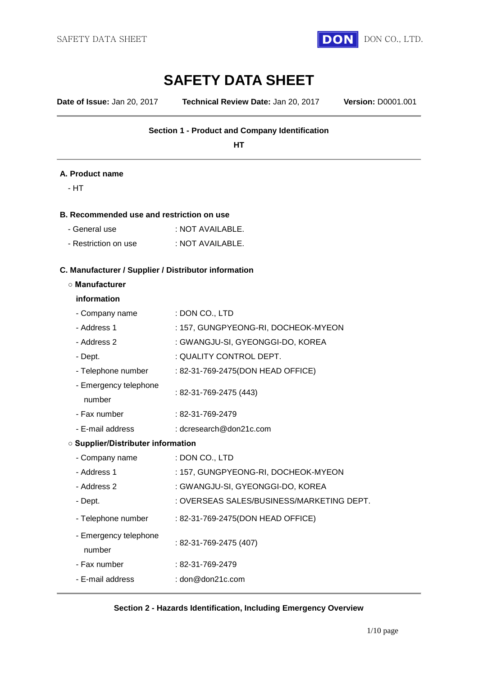

# **SAFETY DATA SHEET**

**Date of Issue:** Jan 20, 2017 **Technical Review Date:** Jan 20, 2017 **Version:** D0001.001

# **Section 1 - Product and Company Identification**

**HT**

### **A. Product name**

- HT

### **B. Recommended use and restriction on use**

| - General use        | : NOT AVAILABLE. |
|----------------------|------------------|
| - Restriction on use | : NOT AVAILABLE. |

# **C. Manufacturer / Supplier / Distributor information**

### **○ Manufacturer**

### **information**

| - Company name                            | : DON CO., LTD                            |  |  |  |
|-------------------------------------------|-------------------------------------------|--|--|--|
| - Address 1                               | : 157, GUNGPYEONG-RI, DOCHEOK-MYEON       |  |  |  |
| - Address 2                               | : GWANGJU-SI, GYEONGGI-DO, KOREA          |  |  |  |
| - Dept.                                   | : QUALITY CONTROL DEPT.                   |  |  |  |
| - Telephone number                        | : 82-31-769-2475(DON HEAD OFFICE)         |  |  |  |
| - Emergency telephone<br>number           | : 82-31-769-2475 (443)                    |  |  |  |
| - Fax number                              | : 82-31-769-2479                          |  |  |  |
| - E-mail address                          | : dcresearch@don21c.com                   |  |  |  |
| <b>O Supplier/Distributer information</b> |                                           |  |  |  |
| - Company name                            | : DON CO., LTD                            |  |  |  |
| - Address 1                               | : 157, GUNGPYEONG-RI, DOCHEOK-MYEON       |  |  |  |
| - Address 2                               | : GWANGJU-SI, GYEONGGI-DO, KOREA          |  |  |  |
| - Dept.                                   | : OVERSEAS SALES/BUSINESS/MARKETING DEPT. |  |  |  |
| - Telephone number                        | : 82-31-769-2475(DON HEAD OFFICE)         |  |  |  |
| - Emergency telephone<br>number           | : 82-31-769-2475 (407)                    |  |  |  |
| - Fax number                              | : 82-31-769-2479                          |  |  |  |
| - E-mail address                          | : $dom@don21c.com$                        |  |  |  |

### **Section 2 - Hazards Identification, Including Emergency Overview**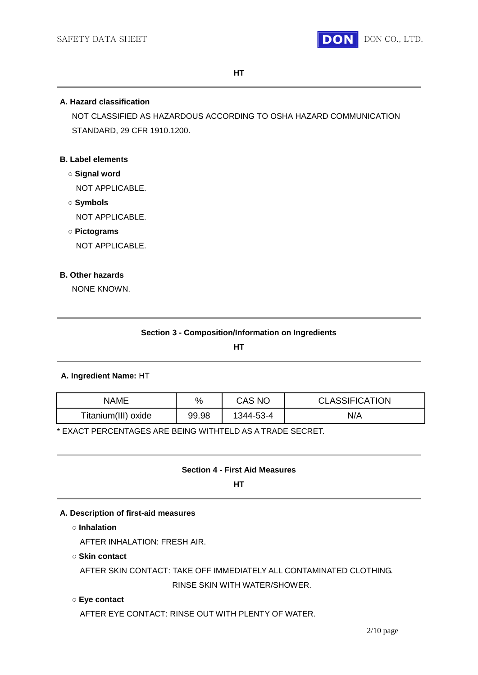

### **A. Hazard classification**

NOT CLASSIFIED AS HAZARDOUS ACCORDING TO OSHA HAZARD COMMUNICATION STANDARD, 29 CFR 1910.1200.

# **B. Label elements**

- **○ Signal word** NOT APPLICABLE.
- **○ Symbols** NOT APPLICABLE.
- **○ Pictograms**

NOT APPLICABLE.

### **B. Other hazards**

NONE KNOWN.

**HT**

# **A. Ingredient Name:** HT

| <b>NAME</b>         | $\%$  | CAS NO    | <b>CLASSIFICATION</b> |
|---------------------|-------|-----------|-----------------------|
| Titanium(III) oxide | 99.98 | 1344-53-4 | N/A                   |

\* EXACT PERCENTAGES ARE BEING WITHTELD AS A TRADE SECRET.

# **Section 4 - First Aid Measures**

**HT**

### **A. Description of first-aid measures**

**○ Inhalation**

AFTER INHALATION: FRESH AIR.

### **○ Skin contact**

AFTER SKIN CONTACT: TAKE OFF IMMEDIATELY ALL CONTAMINATED CLOTHING. RINSE SKIN WITH WATER/SHOWER.

### **○ Eye contact**

AFTER EYE CONTACT: RINSE OUT WITH PLENTY OF WATER.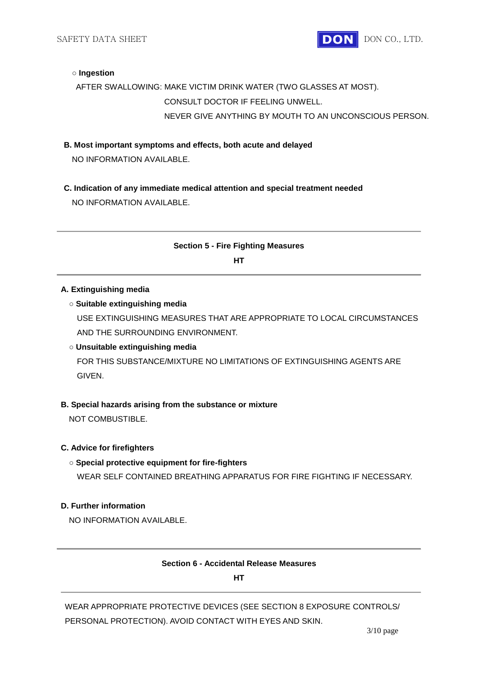SAFETY DATA SHEET **DON** DON CO., LTD.

### **○ Ingestion**

# AFTER SWALLOWING: MAKE VICTIM DRINK WATER (TWO GLASSES AT MOST). CONSULT DOCTOR IF FEELING UNWELL. NEVER GIVE ANYTHING BY MOUTH TO AN UNCONSCIOUS PERSON.

**B. Most important symptoms and effects, both acute and delayed**

NO INFORMATION AVAILABLE.

**C. Indication of any immediate medical attention and special treatment needed** NO INFORMATION AVAILABLE.

# **Section 5 - Fire Fighting Measures**

**HT**

### **A. Extinguishing media**

### **○ Suitable extinguishing media**

USE EXTINGUISHING MEASURES THAT ARE APPROPRIATE TO LOCAL CIRCUMSTANCES AND THE SURROUNDING ENVIRONMENT.

### **○ Unsuitable extinguishing media**

FOR THIS SUBSTANCE/MIXTURE NO LIMITATIONS OF EXTINGUISHING AGENTS ARE GIVEN.

### **B. Special hazards arising from the substance or mixture**

NOT COMBUSTIBLE.

### **C. Advice for firefighters**

### **○ Special protective equipment for fire-fighters**

WEAR SELF CONTAINED BREATHING APPARATUS FOR FIRE FIGHTING IF NECESSARY.

### **D. Further information**

NO INFORMATION AVAILABLE.

### **Section 6 - Accidental Release Measures**

**HT**

WEAR APPROPRIATE PROTECTIVE DEVICES (SEE SECTION 8 EXPOSURE CONTROLS/ PERSONAL PROTECTION). AVOID CONTACT WITH EYES AND SKIN.

3/10 page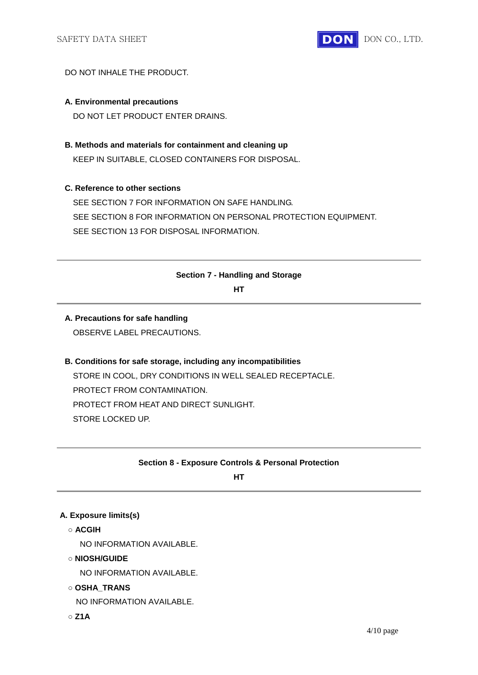

## DO NOT INHALE THE PRODUCT.

### **A. Environmental precautions**

DO NOT LET PRODUCT ENTER DRAINS.

**B. Methods and materials for containment and cleaning up**

KEEP IN SUITABLE, CLOSED CONTAINERS FOR DISPOSAL.

# **C. Reference to other sections**

SEE SECTION 7 FOR INFORMATION ON SAFE HANDLING. SEE SECTION 8 FOR INFORMATION ON PERSONAL PROTECTION EQUIPMENT. SEE SECTION 13 FOR DISPOSAL INFORMATION.

### **Section 7 - Handling and Storage**

**HT**

# **A. Precautions for safe handling** OBSERVE LABEL PRECAUTIONS.

# **B. Conditions for safe storage, including any incompatibilities** STORE IN COOL, DRY CONDITIONS IN WELL SEALED RECEPTACLE. PROTECT FROM CONTAMINATION. PROTECT FROM HEAT AND DIRECT SUNLIGHT. STORE LOCKED UP.

# **Section 8 - Exposure Controls & Personal Protection**

**HT**

### **A. Exposure limits(s)**

**○ ACGIH**

NO INFORMATION AVAILABLE.

**○ NIOSH/GUIDE**

NO INFORMATION AVAILABLE.

**○ OSHA\_TRANS**

NO INFORMATION AVAILABLE.

**○ Z1A**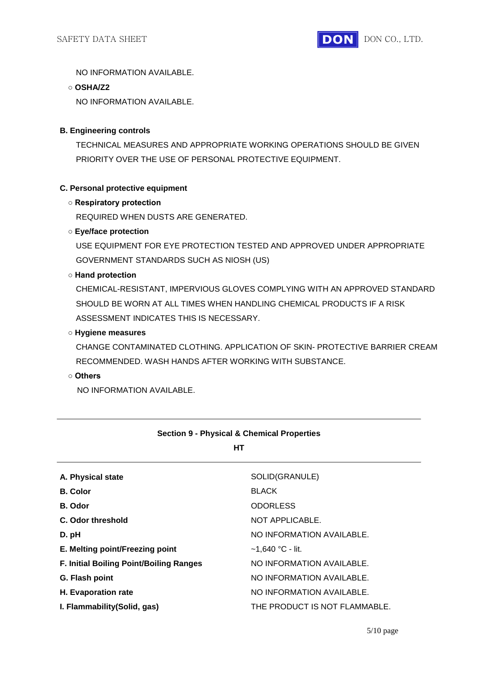NO INFORMATION AVAILABLE.

**○ OSHA/Z2**

NO INFORMATION AVAILABLE.

# **B. Engineering controls**

TECHNICAL MEASURES AND APPROPRIATE WORKING OPERATIONS SHOULD BE GIVEN PRIORITY OVER THE USE OF PERSONAL PROTECTIVE EQUIPMENT.

# **C. Personal protective equipment**

### **○ Respiratory protection**

REQUIRED WHEN DUSTS ARE GENERATED.

### **○ Eye/face protection**

USE EQUIPMENT FOR EYE PROTECTION TESTED AND APPROVED UNDER APPROPRIATE GOVERNMENT STANDARDS SUCH AS NIOSH (US)

### **○ Hand protection**

CHEMICAL-RESISTANT, IMPERVIOUS GLOVES COMPLYING WITH AN APPROVED STANDARD SHOULD BE WORN AT ALL TIMES WHEN HANDLING CHEMICAL PRODUCTS IF A RISK ASSESSMENT INDICATES THIS IS NECESSARY.

### **○ Hygiene measures**

CHANGE CONTAMINATED CLOTHING. APPLICATION OF SKIN- PROTECTIVE BARRIER CREAM RECOMMENDED. WASH HANDS AFTER WORKING WITH SUBSTANCE.

### **○ Others**

NO INFORMATION AVAILABLE.

| HТ                                             |                               |
|------------------------------------------------|-------------------------------|
| A. Physical state                              | SOLID(GRANULE)                |
| <b>B.</b> Color                                | <b>BLACK</b>                  |
| B. Odor                                        | <b>ODORLESS</b>               |
| C. Odor threshold                              | NOT APPLICABLE.               |
| D. pH                                          | NO INFORMATION AVAILABLE.     |
| E. Melting point/Freezing point                | $~1.640~^{\circ}$ C - lit.    |
| <b>F. Initial Boiling Point/Boiling Ranges</b> | NO INFORMATION AVAILABLE.     |
| G. Flash point                                 | NO INFORMATION AVAILABLE.     |
| H. Evaporation rate                            | NO INFORMATION AVAILABLE.     |
| I. Flammability (Solid, gas)                   | THE PRODUCT IS NOT FLAMMABLE. |

# **Section 9 - Physical & Chemical Properties**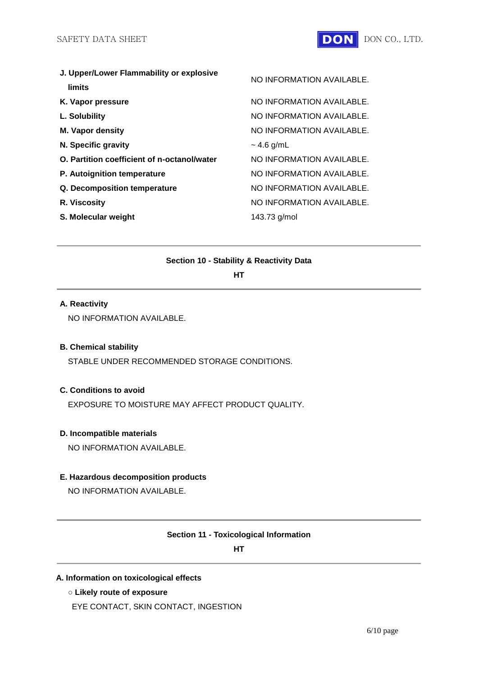| J. Upper/Lower Flammability or explosive<br>limits | NO INFORMATION AVAILABLE. |
|----------------------------------------------------|---------------------------|
| K. Vapor pressure                                  | NO INFORMATION AVAILABLE. |
| L. Solubility                                      | NO INFORMATION AVAILABLE. |
| <b>M. Vapor density</b>                            | NO INFORMATION AVAILABLE. |
| N. Specific gravity                                | $~1.6$ g/mL               |
| O. Partition coefficient of n-octanol/water        | NO INFORMATION AVAILABLE. |
| P. Autoignition temperature                        | NO INFORMATION AVAILABLE. |
| Q. Decomposition temperature                       | NO INFORMATION AVAILABLE. |
| R. Viscosity                                       | NO INFORMATION AVAILABLE. |
| S. Molecular weight                                | 143.73 g/mol              |

### **Section 10 - Stability & Reactivity Data**

**HT**

# **A. Reactivity**

NO INFORMATION AVAILABLE.

### **B. Chemical stability**

STABLE UNDER RECOMMENDED STORAGE CONDITIONS.

# **C. Conditions to avoid**

EXPOSURE TO MOISTURE MAY AFFECT PRODUCT QUALITY.

### **D. Incompatible materials**

NO INFORMATION AVAILABLE.

# **E. Hazardous decomposition products**

NO INFORMATION AVAILABLE.

### **Section 11 - Toxicological Information**

**HT**

### **A. Information on toxicological effects**

**○ Likely route of exposure**

EYE CONTACT, SKIN CONTACT, INGESTION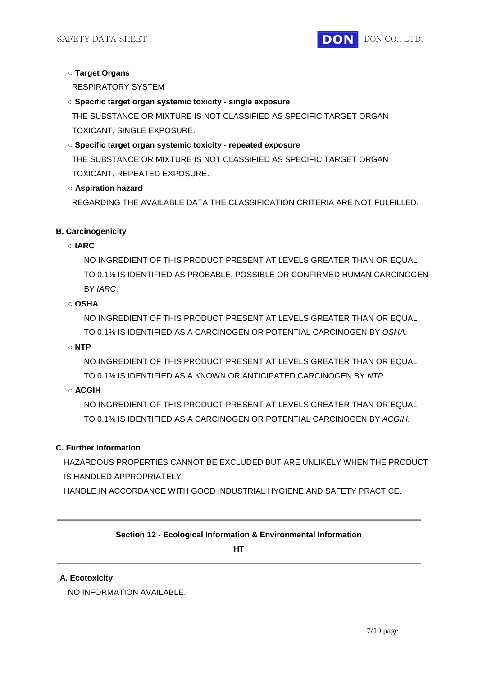

# **○ Target Organs**

RESPIRATORY SYSTEM

**○ Specific target organ systemic toxicity - single exposure**

THE SUBSTANCE OR MIXTURE IS NOT CLASSIFIED AS SPECIFIC TARGET ORGAN TOXICANT, SINGLE EXPOSURE.

# **○ Specific target organ systemic toxicity - repeated exposure**

THE SUBSTANCE OR MIXTURE IS NOT CLASSIFIED AS SPECIFIC TARGET ORGAN TOXICANT, REPEATED EXPOSURE.

# **○ Aspiration hazard**

REGARDING THE AVAILABLE DATA THE CLASSIFICATION CRITERIA ARE NOT FULFILLED.

# **B. Carcinogenicity**

# **○ IARC**

NO INGREDIENT OF THIS PRODUCT PRESENT AT LEVELS GREATER THAN OR EQUAL TO 0.1% IS IDENTIFIED AS PROBABLE, POSSIBLE OR CONFIRMED HUMAN CARCINOGEN BY *IARC*.

# **○ OSHA**

NO INGREDIENT OF THIS PRODUCT PRESENT AT LEVELS GREATER THAN OR EQUAL TO 0.1% IS IDENTIFIED AS A CARCINOGEN OR POTENTIAL CARCINOGEN BY *OSHA*.

# **○ NTP**

NO INGREDIENT OF THIS PRODUCT PRESENT AT LEVELS GREATER THAN OR EQUAL TO 0.1% IS IDENTIFIED AS A KNOWN OR ANTICIPATED CARCINOGEN BY *NTP*.

# **○ ACGIH**

NO INGREDIENT OF THIS PRODUCT PRESENT AT LEVELS GREATER THAN OR EQUAL TO 0.1% IS IDENTIFIED AS A CARCINOGEN OR POTENTIAL CARCINOGEN BY *ACGIH*.

# **C. Further information**

HAZARDOUS PROPERTIES CANNOT BE EXCLUDED BUT ARE UNLIKELY WHEN THE PRODUCT IS HANDLED APPROPRIATELY.

HANDLE IN ACCORDANCE WITH GOOD INDUSTRIAL HYGIENE AND SAFETY PRACTICE.

# **Section 12 - Ecological Information & Environmental Information**

**HT**

# **A. Ecotoxicity**

NO INFORMATION AVAILABLE.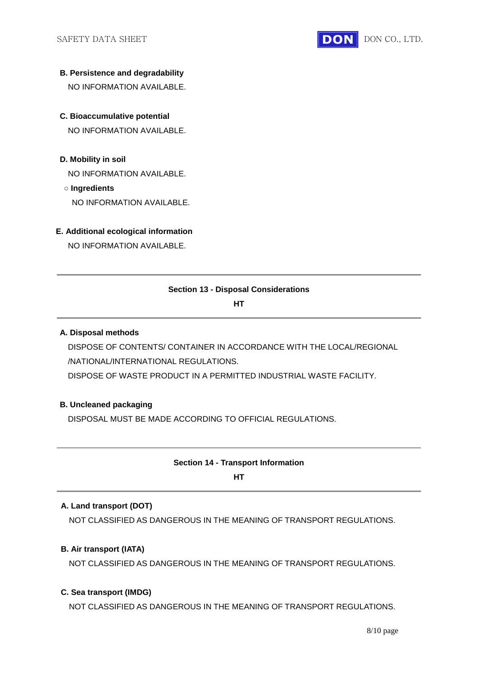

### **B. Persistence and degradability**

NO INFORMATION AVAILABLE.

# **C. Bioaccumulative potential**

NO INFORMATION AVAILABLE.

**D. Mobility in soil**

NO INFORMATION AVAILABLE.

**○ Ingredients**

NO INFORMATION AVAILABLE.

### **E. Additional ecological information**

NO INFORMATION AVAILABLE.

# **Section 13 - Disposal Considerations**

**HT**

### **A. Disposal methods**

DISPOSE OF CONTENTS/ CONTAINER IN ACCORDANCE WITH THE LOCAL/REGIONAL /NATIONAL/INTERNATIONAL REGULATIONS. DISPOSE OF WASTE PRODUCT IN A PERMITTED INDUSTRIAL WASTE FACILITY.

# **B. Uncleaned packaging**

DISPOSAL MUST BE MADE ACCORDING TO OFFICIAL REGULATIONS.

# **Section 14 - Transport Information**

**HT**

# **A. Land transport (DOT)**

NOT CLASSIFIED AS DANGEROUS IN THE MEANING OF TRANSPORT REGULATIONS.

# **B. Air transport (IATA)**

NOT CLASSIFIED AS DANGEROUS IN THE MEANING OF TRANSPORT REGULATIONS.

# **C. Sea transport (IMDG)**

NOT CLASSIFIED AS DANGEROUS IN THE MEANING OF TRANSPORT REGULATIONS.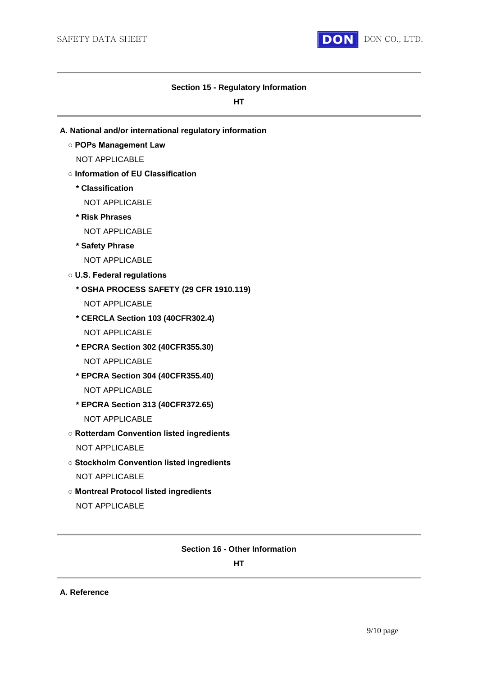

### **Section 15 - Regulatory Information**

**HT**

- **A. National and/or international regulatory information**
	- **POPs Management Law**
		- NOT APPLICABLE
	- **Information of EU Classification**
		- **\* Classification**
			- NOT APPLICABLE
		- **\* Risk Phrases**
			- NOT APPLICABLE
		- **\* Safety Phrase**
			- NOT APPLICABLE
	- **U.S. Federal regulations**
		- **\* OSHA PROCESS SAFETY (29 CFR 1910.119)**
			- NOT APPLICABLE
		- **\* CERCLA Section 103 (40CFR302.4)** NOT APPLICABLE
		- **\* EPCRA Section 302 (40CFR355.30)** NOT APPLICABLE
		- **\* EPCRA Section 304 (40CFR355.40)** NOT APPLICABLE
		- **\* EPCRA Section 313 (40CFR372.65)** NOT APPLICABLE
	- **Rotterdam Convention listed ingredients** NOT APPLICABLE
	- **Stockholm Convention listed ingredients** NOT APPLICABLE
	- **Montreal Protocol listed ingredients** NOT APPLICABLE

# **Section 16 - Other Information**

**HT**

**A. Reference**